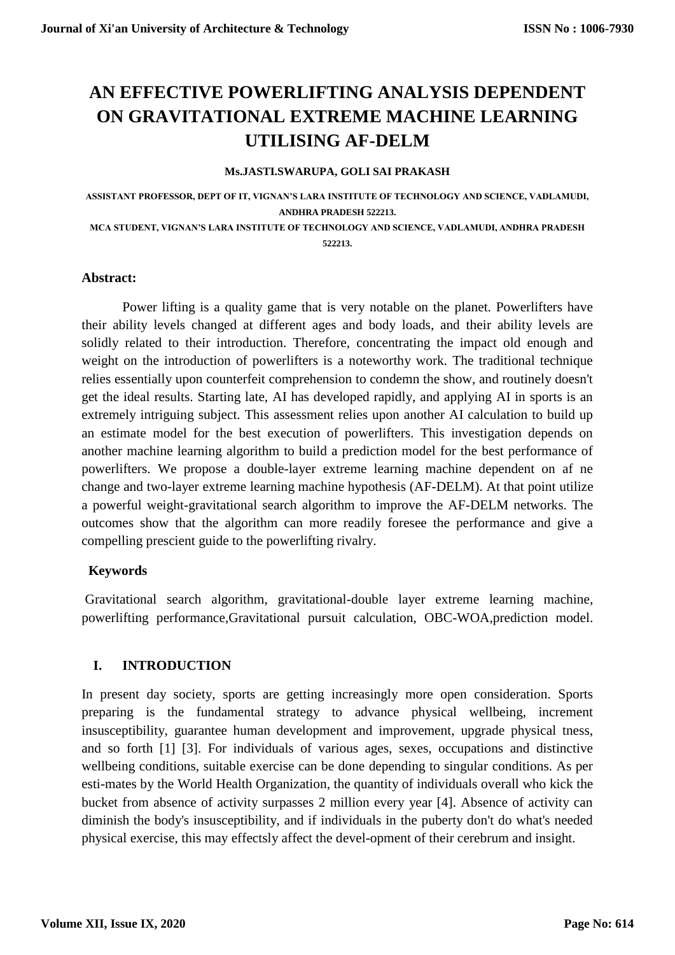# **AN EFFECTIVE POWERLIFTING ANALYSIS DEPENDENT ON GRAVITATIONAL EXTREME MACHINE LEARNING UTILISING AF-DELM**

#### **Ms.JASTI.SWARUPA, GOLI SAI PRAKASH**

**ASSISTANT PROFESSOR, DEPT OF IT, VIGNAN'S LARA INSTITUTE OF TECHNOLOGY AND SCIENCE, VADLAMUDI, ANDHRA PRADESH 522213. MCA STUDENT, VIGNAN'S LARA INSTITUTE OF TECHNOLOGY AND SCIENCE, VADLAMUDI, ANDHRA PRADESH** 

**522213.**

#### **Abstract:**

Power lifting is a quality game that is very notable on the planet. Powerlifters have their ability levels changed at different ages and body loads, and their ability levels are solidly related to their introduction. Therefore, concentrating the impact old enough and weight on the introduction of powerlifters is a noteworthy work. The traditional technique relies essentially upon counterfeit comprehension to condemn the show, and routinely doesn't get the ideal results. Starting late, AI has developed rapidly, and applying AI in sports is an extremely intriguing subject. This assessment relies upon another AI calculation to build up an estimate model for the best execution of powerlifters. This investigation depends on another machine learning algorithm to build a prediction model for the best performance of powerlifters. We propose a double-layer extreme learning machine dependent on af ne change and two-layer extreme learning machine hypothesis (AF-DELM). At that point utilize a powerful weight-gravitational search algorithm to improve the AF-DELM networks. The outcomes show that the algorithm can more readily foresee the performance and give a compelling prescient guide to the powerlifting rivalry.

## **Keywords**

Gravitational search algorithm, gravitational-double layer extreme learning machine, powerlifting performance,Gravitational pursuit calculation, OBC-WOA,prediction model.

# **I. INTRODUCTION**

In present day society, sports are getting increasingly more open consideration. Sports preparing is the fundamental strategy to advance physical wellbeing, increment insusceptibility, guarantee human development and improvement, upgrade physical tness, and so forth [1] [3]. For individuals of various ages, sexes, occupations and distinctive wellbeing conditions, suitable exercise can be done depending to singular conditions. As per esti-mates by the World Health Organization, the quantity of individuals overall who kick the bucket from absence of activity surpasses 2 million every year [4]. Absence of activity can diminish the body's insusceptibility, and if individuals in the puberty don't do what's needed physical exercise, this may effectsly affect the devel-opment of their cerebrum and insight.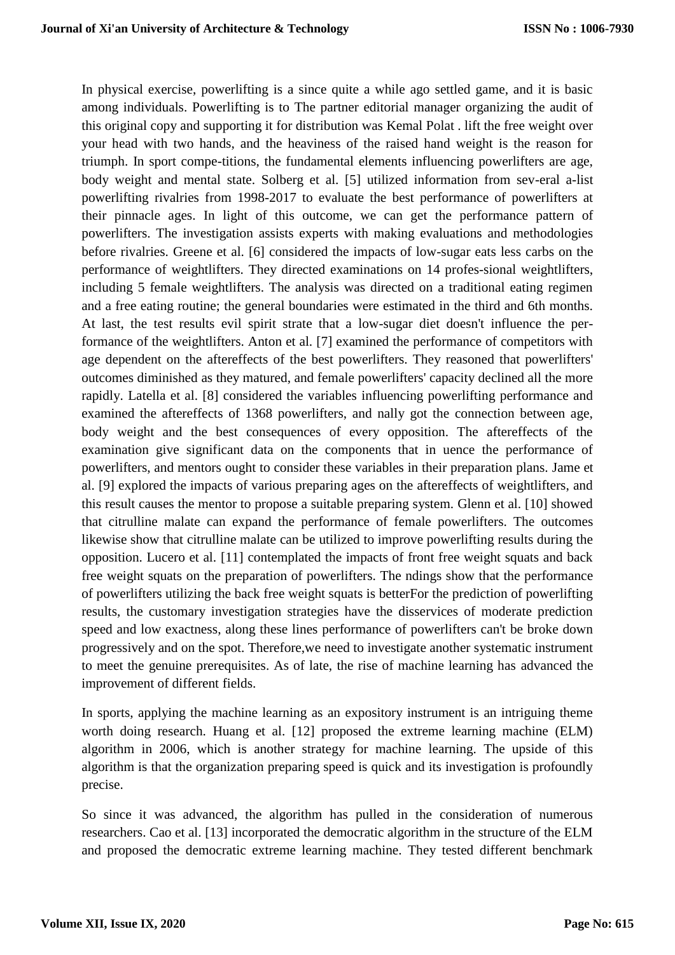In physical exercise, powerlifting is a since quite a while ago settled game, and it is basic among individuals. Powerlifting is to The partner editorial manager organizing the audit of this original copy and supporting it for distribution was Kemal Polat . lift the free weight over your head with two hands, and the heaviness of the raised hand weight is the reason for triumph. In sport compe-titions, the fundamental elements influencing powerlifters are age, body weight and mental state. Solberg et al. [5] utilized information from sev-eral a-list powerlifting rivalries from 1998-2017 to evaluate the best performance of powerlifters at their pinnacle ages. In light of this outcome, we can get the performance pattern of powerlifters. The investigation assists experts with making evaluations and methodologies before rivalries. Greene et al. [6] considered the impacts of low-sugar eats less carbs on the performance of weightlifters. They directed examinations on 14 profes-sional weightlifters, including 5 female weightlifters. The analysis was directed on a traditional eating regimen and a free eating routine; the general boundaries were estimated in the third and 6th months. At last, the test results evil spirit strate that a low-sugar diet doesn't influence the performance of the weightlifters. Anton et al. [7] examined the performance of competitors with age dependent on the aftereffects of the best powerlifters. They reasoned that powerlifters' outcomes diminished as they matured, and female powerlifters' capacity declined all the more rapidly. Latella et al. [8] considered the variables influencing powerlifting performance and examined the aftereffects of 1368 powerlifters, and nally got the connection between age, body weight and the best consequences of every opposition. The aftereffects of the examination give significant data on the components that in uence the performance of powerlifters, and mentors ought to consider these variables in their preparation plans. Jame et al. [9] explored the impacts of various preparing ages on the aftereffects of weightlifters, and this result causes the mentor to propose a suitable preparing system. Glenn et al. [10] showed that citrulline malate can expand the performance of female powerlifters. The outcomes likewise show that citrulline malate can be utilized to improve powerlifting results during the opposition. Lucero et al. [11] contemplated the impacts of front free weight squats and back free weight squats on the preparation of powerlifters. The ndings show that the performance of powerlifters utilizing the back free weight squats is betterFor the prediction of powerlifting results, the customary investigation strategies have the disservices of moderate prediction speed and low exactness, along these lines performance of powerlifters can't be broke down progressively and on the spot. Therefore,we need to investigate another systematic instrument to meet the genuine prerequisites. As of late, the rise of machine learning has advanced the improvement of different fields.

In sports, applying the machine learning as an expository instrument is an intriguing theme worth doing research. Huang et al. [12] proposed the extreme learning machine (ELM) algorithm in 2006, which is another strategy for machine learning. The upside of this algorithm is that the organization preparing speed is quick and its investigation is profoundly precise.

So since it was advanced, the algorithm has pulled in the consideration of numerous researchers. Cao et al. [13] incorporated the democratic algorithm in the structure of the ELM and proposed the democratic extreme learning machine. They tested different benchmark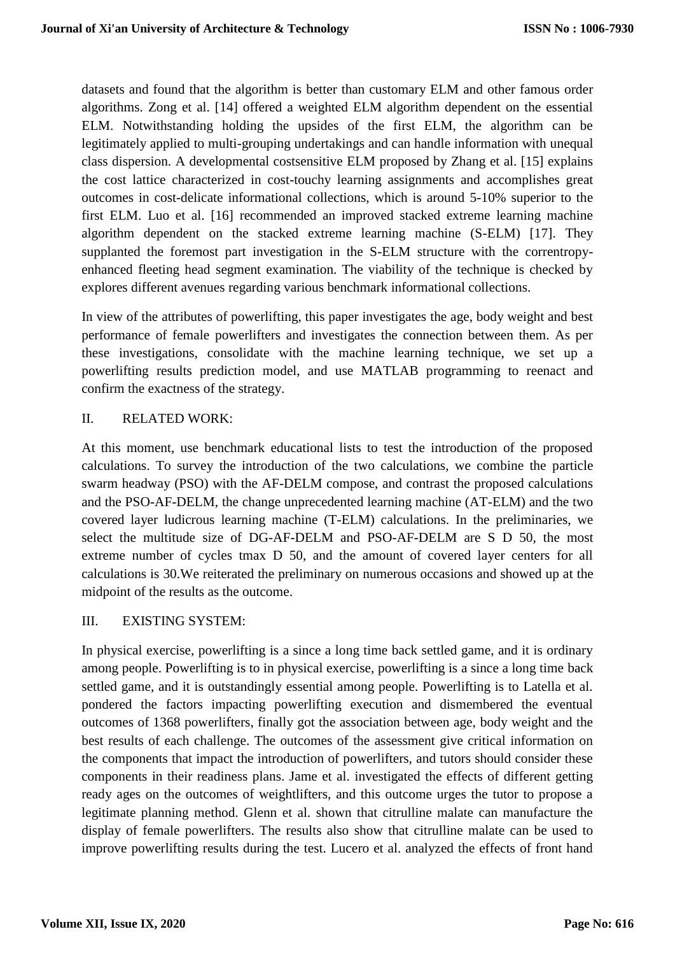datasets and found that the algorithm is better than customary ELM and other famous order algorithms. Zong et al. [14] offered a weighted ELM algorithm dependent on the essential ELM. Notwithstanding holding the upsides of the first ELM, the algorithm can be legitimately applied to multi-grouping undertakings and can handle information with unequal class dispersion. A developmental costsensitive ELM proposed by Zhang et al. [15] explains the cost lattice characterized in cost-touchy learning assignments and accomplishes great outcomes in cost-delicate informational collections, which is around 5-10% superior to the first ELM. Luo et al. [16] recommended an improved stacked extreme learning machine algorithm dependent on the stacked extreme learning machine (S-ELM) [17]. They supplanted the foremost part investigation in the S-ELM structure with the correntropyenhanced fleeting head segment examination. The viability of the technique is checked by explores different avenues regarding various benchmark informational collections.

In view of the attributes of powerlifting, this paper investigates the age, body weight and best performance of female powerlifters and investigates the connection between them. As per these investigations, consolidate with the machine learning technique, we set up a powerlifting results prediction model, and use MATLAB programming to reenact and confirm the exactness of the strategy.

# II. RELATED WORK:

At this moment, use benchmark educational lists to test the introduction of the proposed calculations. To survey the introduction of the two calculations, we combine the particle swarm headway (PSO) with the AF-DELM compose, and contrast the proposed calculations and the PSO-AF-DELM, the change unprecedented learning machine (AT-ELM) and the two covered layer ludicrous learning machine (T-ELM) calculations. In the preliminaries, we select the multitude size of DG-AF-DELM and PSO-AF-DELM are S D 50, the most extreme number of cycles tmax D 50, and the amount of covered layer centers for all calculations is 30.We reiterated the preliminary on numerous occasions and showed up at the midpoint of the results as the outcome.

## III. EXISTING SYSTEM:

In physical exercise, powerlifting is a since a long time back settled game, and it is ordinary among people. Powerlifting is to in physical exercise, powerlifting is a since a long time back settled game, and it is outstandingly essential among people. Powerlifting is to Latella et al. pondered the factors impacting powerlifting execution and dismembered the eventual outcomes of 1368 powerlifters, finally got the association between age, body weight and the best results of each challenge. The outcomes of the assessment give critical information on the components that impact the introduction of powerlifters, and tutors should consider these components in their readiness plans. Jame et al. investigated the effects of different getting ready ages on the outcomes of weightlifters, and this outcome urges the tutor to propose a legitimate planning method. Glenn et al. shown that citrulline malate can manufacture the display of female powerlifters. The results also show that citrulline malate can be used to improve powerlifting results during the test. Lucero et al. analyzed the effects of front hand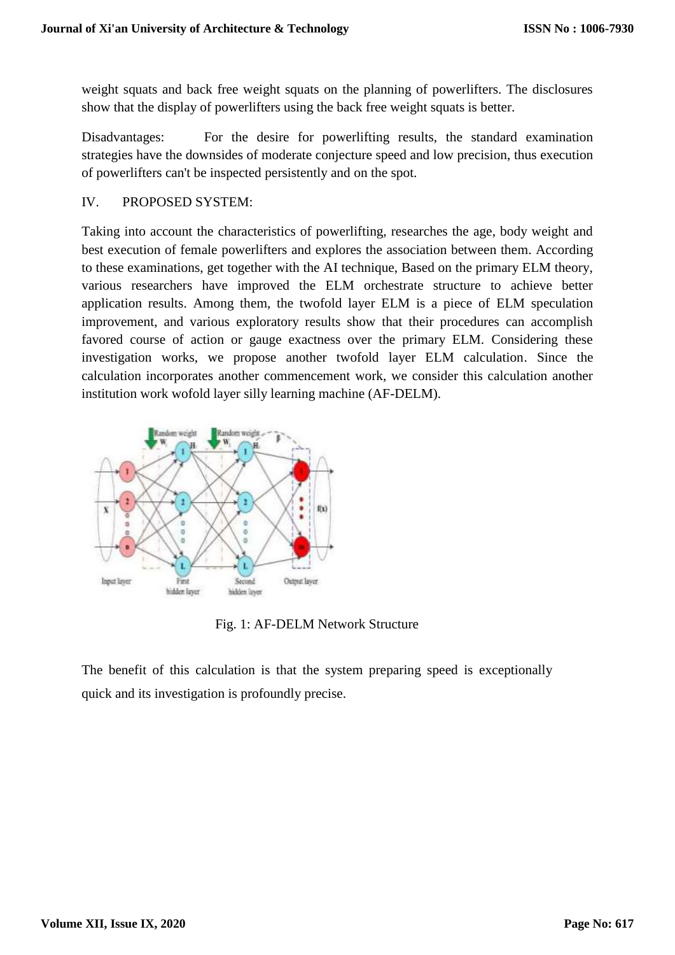weight squats and back free weight squats on the planning of powerlifters. The disclosures show that the display of powerlifters using the back free weight squats is better.

Disadvantages: For the desire for powerlifting results, the standard examination strategies have the downsides of moderate conjecture speed and low precision, thus execution of powerlifters can't be inspected persistently and on the spot.

## IV. PROPOSED SYSTEM:

Taking into account the characteristics of powerlifting, researches the age, body weight and best execution of female powerlifters and explores the association between them. According to these examinations, get together with the AI technique, Based on the primary ELM theory, various researchers have improved the ELM orchestrate structure to achieve better application results. Among them, the twofold layer ELM is a piece of ELM speculation improvement, and various exploratory results show that their procedures can accomplish favored course of action or gauge exactness over the primary ELM. Considering these investigation works, we propose another twofold layer ELM calculation. Since the calculation incorporates another commencement work, we consider this calculation another institution work wofold layer silly learning machine (AF-DELM).



Fig. 1: AF-DELM Network Structure

The benefit of this calculation is that the system preparing speed is exceptionally quick and its investigation is profoundly precise.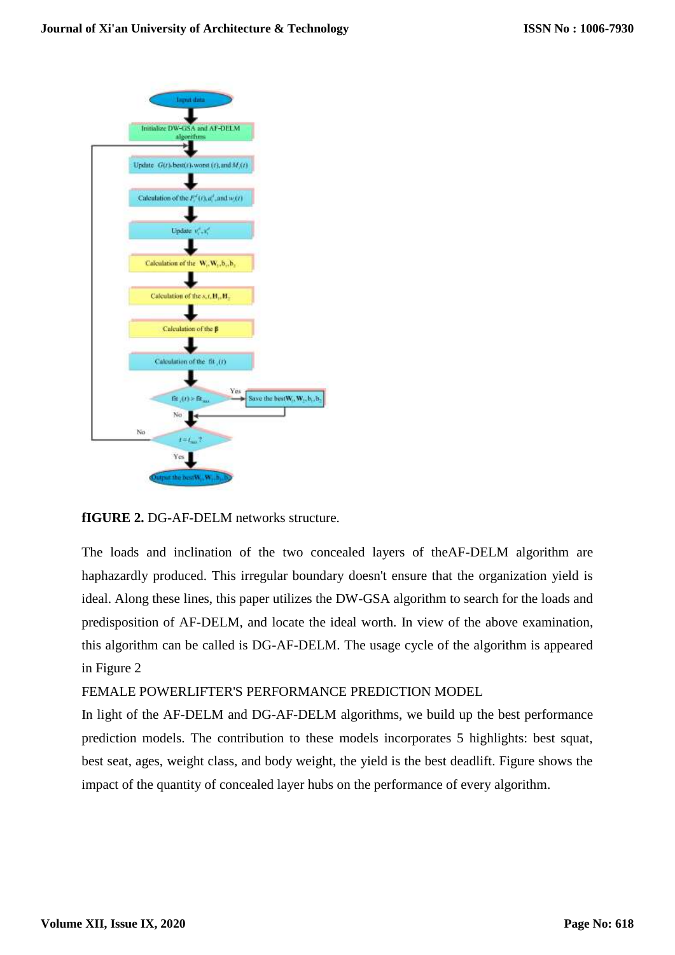

**fIGURE 2.** DG-AF-DELM networks structure.

The loads and inclination of the two concealed layers of theAF-DELM algorithm are haphazardly produced. This irregular boundary doesn't ensure that the organization yield is ideal. Along these lines, this paper utilizes the DW-GSA algorithm to search for the loads and predisposition of AF-DELM, and locate the ideal worth. In view of the above examination, this algorithm can be called is DG-AF-DELM. The usage cycle of the algorithm is appeared in Figure 2

FEMALE POWERLIFTER'S PERFORMANCE PREDICTION MODEL

In light of the AF-DELM and DG-AF-DELM algorithms, we build up the best performance prediction models. The contribution to these models incorporates 5 highlights: best squat, best seat, ages, weight class, and body weight, the yield is the best deadlift. Figure shows the impact of the quantity of concealed layer hubs on the performance of every algorithm.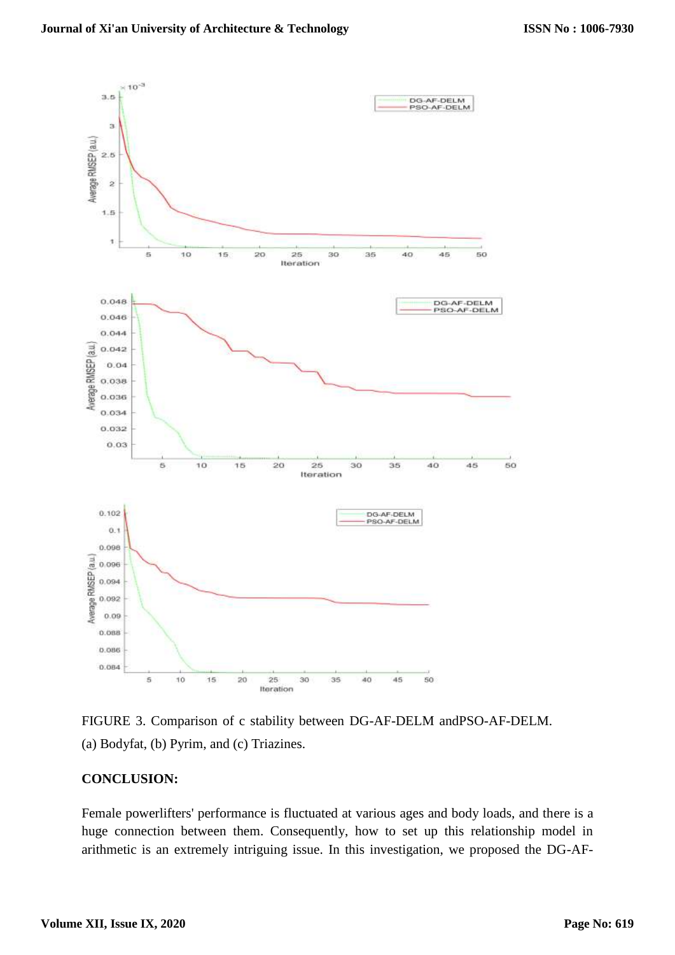

FIGURE 3. Comparison of c stability between DG-AF-DELM andPSO-AF-DELM. (a) Bodyfat, (b) Pyrim, and (c) Triazines.

## **CONCLUSION:**

Female powerlifters' performance is fluctuated at various ages and body loads, and there is a huge connection between them. Consequently, how to set up this relationship model in arithmetic is an extremely intriguing issue. In this investigation, we proposed the DG-AF-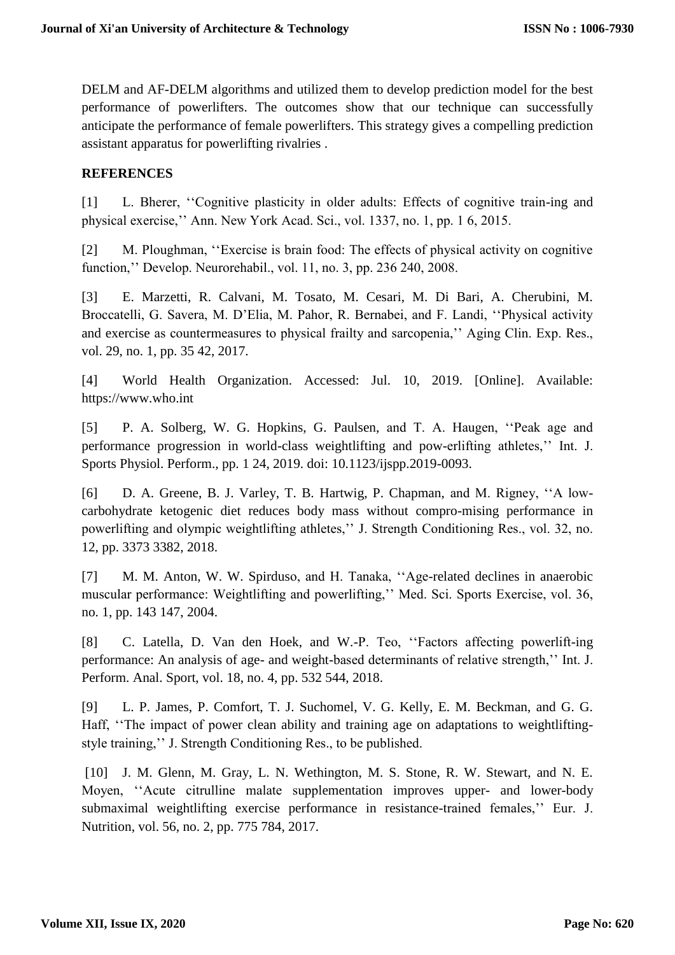DELM and AF-DELM algorithms and utilized them to develop prediction model for the best performance of powerlifters. The outcomes show that our technique can successfully anticipate the performance of female powerlifters. This strategy gives a compelling prediction assistant apparatus for powerlifting rivalries .

# **REFERENCES**

[1] L. Bherer, ''Cognitive plasticity in older adults: Effects of cognitive train-ing and physical exercise,'' Ann. New York Acad. Sci., vol. 1337, no. 1, pp. 1 6, 2015.

[2] M. Ploughman, ''Exercise is brain food: The effects of physical activity on cognitive function,'' Develop. Neurorehabil., vol. 11, no. 3, pp. 236 240, 2008.

[3] E. Marzetti, R. Calvani, M. Tosato, M. Cesari, M. Di Bari, A. Cherubini, M. Broccatelli, G. Savera, M. D'Elia, M. Pahor, R. Bernabei, and F. Landi, ''Physical activity and exercise as countermeasures to physical frailty and sarcopenia,'' Aging Clin. Exp. Res., vol. 29, no. 1, pp. 35 42, 2017.

[4] World Health Organization. Accessed: Jul. 10, 2019. [Online]. Available: https://www.who.int

[5] P. A. Solberg, W. G. Hopkins, G. Paulsen, and T. A. Haugen, ''Peak age and performance progression in world-class weightlifting and pow-erlifting athletes,'' Int. J. Sports Physiol. Perform., pp. 1 24, 2019. doi: 10.1123/ijspp.2019-0093.

[6] D. A. Greene, B. J. Varley, T. B. Hartwig, P. Chapman, and M. Rigney, ''A lowcarbohydrate ketogenic diet reduces body mass without compro-mising performance in powerlifting and olympic weightlifting athletes,'' J. Strength Conditioning Res., vol. 32, no. 12, pp. 3373 3382, 2018.

[7] M. M. Anton, W. W. Spirduso, and H. Tanaka, "Age-related declines in anaerobic muscular performance: Weightlifting and powerlifting,'' Med. Sci. Sports Exercise, vol. 36, no. 1, pp. 143 147, 2004.

[8] C. Latella, D. Van den Hoek, and W.-P. Teo, ''Factors affecting powerlift-ing performance: An analysis of age- and weight-based determinants of relative strength,'' Int. J. Perform. Anal. Sport, vol. 18, no. 4, pp. 532 544, 2018.

[9] L. P. James, P. Comfort, T. J. Suchomel, V. G. Kelly, E. M. Beckman, and G. G. Haff, ''The impact of power clean ability and training age on adaptations to weightliftingstyle training,'' J. Strength Conditioning Res., to be published.

[10] J. M. Glenn, M. Gray, L. N. Wethington, M. S. Stone, R. W. Stewart, and N. E. Moyen, ''Acute citrulline malate supplementation improves upper- and lower-body submaximal weightlifting exercise performance in resistance-trained females,'' Eur. J. Nutrition, vol. 56, no. 2, pp. 775 784, 2017.